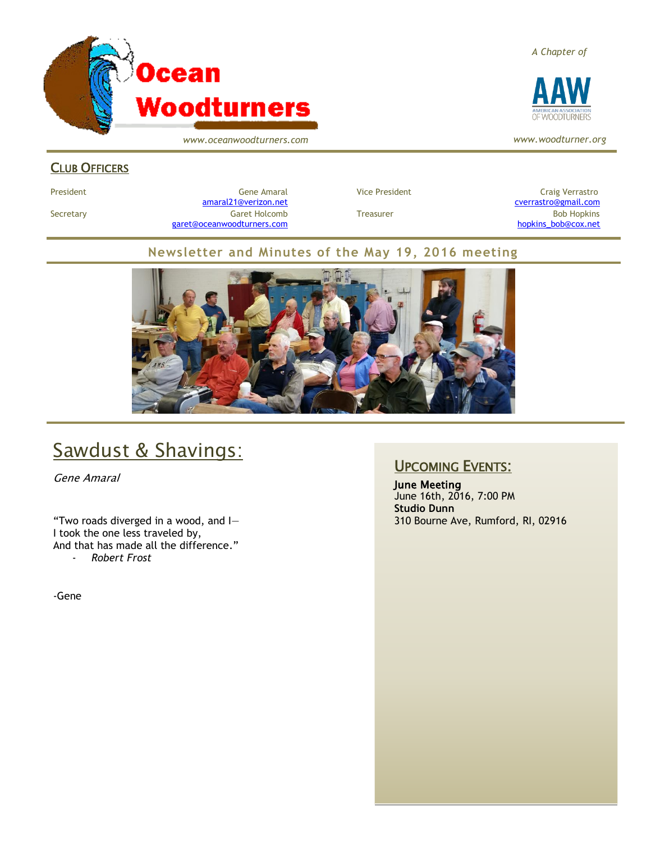

*www.oceanwoodturners.com*

#### *A Chapter of*



*www.woodturner.org*

#### CLUB OFFICERS

President Gene Amaral Vice President Craig Verrastro [amaral21@verizon.net](mailto:amaral21@verizon.net) [cverrastro@gmail.com](mailto:cverrastro@gmail.com) Secretary Garet Holcomb Treasurer Bob Hopkins Bob Hopkins (Bob Hopkins Garet Holcomb [garet@oceanwoodturners.com](mailto:garet@oceanwoodturners.com) and the state of the state of the state of the state of the state of the state of the state of the state of the state of the state of the state of the state of the state of the state of the state

#### **Newsletter and Minutes of the May 19, 2016 meeting**



# Sawdust & Shavings:

Gene Amaral

"Two roads diverged in a wood, and I— I took the one less traveled by, And that has made all the difference." - *Robert Frost*

-Gene

### UPCOMING EVENTS:

June Meeting June 16th, 2016, 7:00 PM **Studio Dunn** 310 Bourne Ave, Rumford, RI, 02916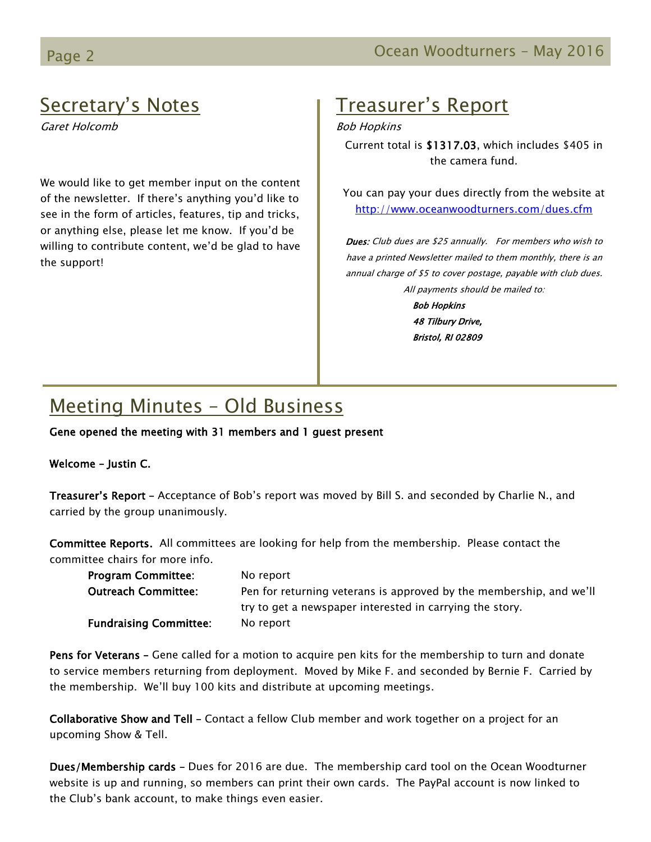### Secretary's Notes

Garet Holcomb

We would like to get member input on the content of the newsletter. If there's anything you'd like to see in the form of articles, features, tip and tricks, or anything else, please let me know. If you'd be willing to contribute content, we'd be glad to have the support!

# Treasurer's Report

#### Bob Hopkins

Current total is \$1317.03, which includes \$405 in the camera fund.

You can pay your dues directly from the website at <http://www.oceanwoodturners.com/dues.cfm>

Dues: Club dues are \$25 annually. For members who wish to have a printed Newsletter mailed to them monthly, there is an annual charge of \$5 to cover postage, payable with club dues. All payments should be mailed to:

> Bob Hopkins 48 Tilbury Drive, Bristol, RI 02809

# Meeting Minutes – Old Business

Gene opened the meeting with 31 members and 1 guest present

#### Welcome – Justin C.

Treasurer's Report – Acceptance of Bob's report was moved by Bill S. and seconded by Charlie N., and carried by the group unanimously.

Committee Reports. All committees are looking for help from the membership. Please contact the committee chairs for more info.

| <b>Program Committee:</b>     | No report                                                           |
|-------------------------------|---------------------------------------------------------------------|
| <b>Outreach Committee:</b>    | Pen for returning veterans is approved by the membership, and we'll |
|                               | try to get a newspaper interested in carrying the story.            |
| <b>Fundraising Committee:</b> | No report                                                           |

Pens for Veterans - Gene called for a motion to acquire pen kits for the membership to turn and donate to service members returning from deployment. Moved by Mike F. and seconded by Bernie F. Carried by the membership. We'll buy 100 kits and distribute at upcoming meetings.

Collaborative Show and Tell – Contact a fellow Club member and work together on a project for an upcoming Show & Tell.

Dues/Membership cards – Dues for 2016 are due. The membership card tool on the Ocean Woodturner website is up and running, so members can print their own cards. The PayPal account is now linked to the Club's bank account, to make things even easier.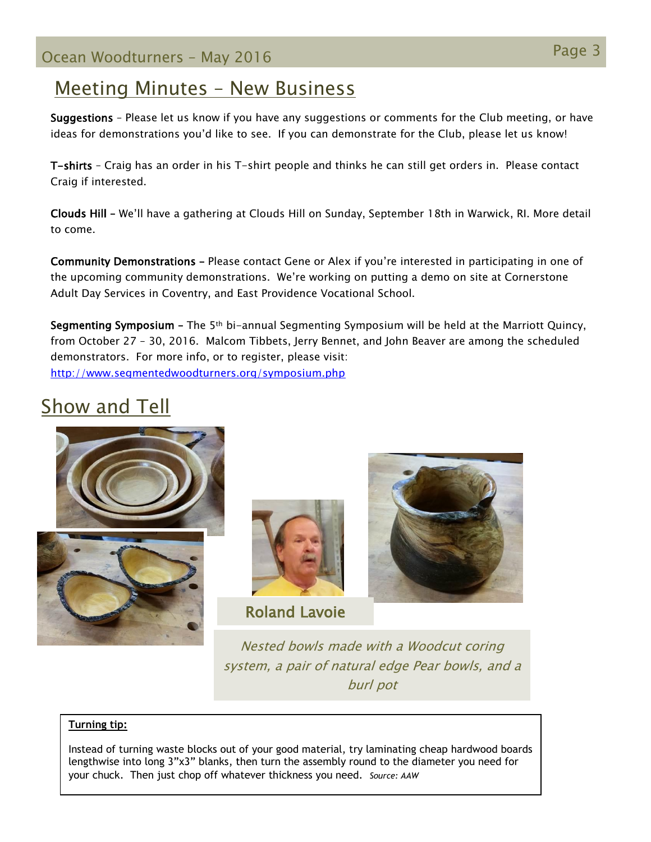### Meeting Minutes – New Business

Suggestions – Please let us know if you have any suggestions or comments for the Club meeting, or have ideas for demonstrations you'd like to see. If you can demonstrate for the Club, please let us know!

T-shirts – Craig has an order in his T-shirt people and thinks he can still get orders in. Please contact Craig if interested.

Clouds Hill – We'll have a gathering at Clouds Hill on Sunday, September 18th in Warwick, RI. More detail to come.

Community Demonstrations – Please contact Gene or Alex if you're interested in participating in one of the upcoming community demonstrations. We're working on putting a demo on site at Cornerstone Adult Day Services in Coventry, and East Providence Vocational School.

Segmenting Symposium – The 5th bi-annual Segmenting Symposium will be held at the Marriott Quincy, from October 27 – 30, 2016. Malcom Tibbets, Jerry Bennet, and John Beaver are among the scheduled demonstrators. For more info, or to register, please visit: <http://www.segmentedwoodturners.org/symposium.php>

# Show and Tell







Roland Lavoie



Nested bowls made with a Woodcut coring system, a pair of natural edge Pear bowls, and a burl pot

#### **Turning tip:**

Instead of turning waste blocks out of your good material, try laminating cheap hardwood boards lengthwise into long 3"x3" blanks, then turn the assembly round to the diameter you need for your chuck. Then just chop off whatever thickness you need. *Source: AAW*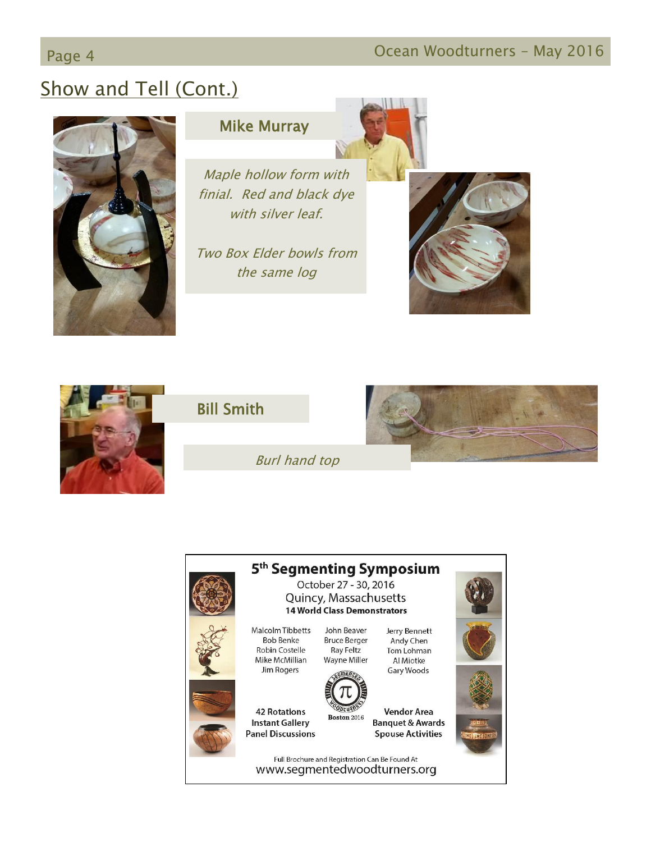# Page 4 **December 19 April 2016** Ocean Woodturners – May 2016

# Show and Tell (Cont.)



### Mike Murray

Maple hollow form with finial. Red and black dye with silver leaf.

Two Box Elder bowls from the same log

Burl hand top





### Bill Smith



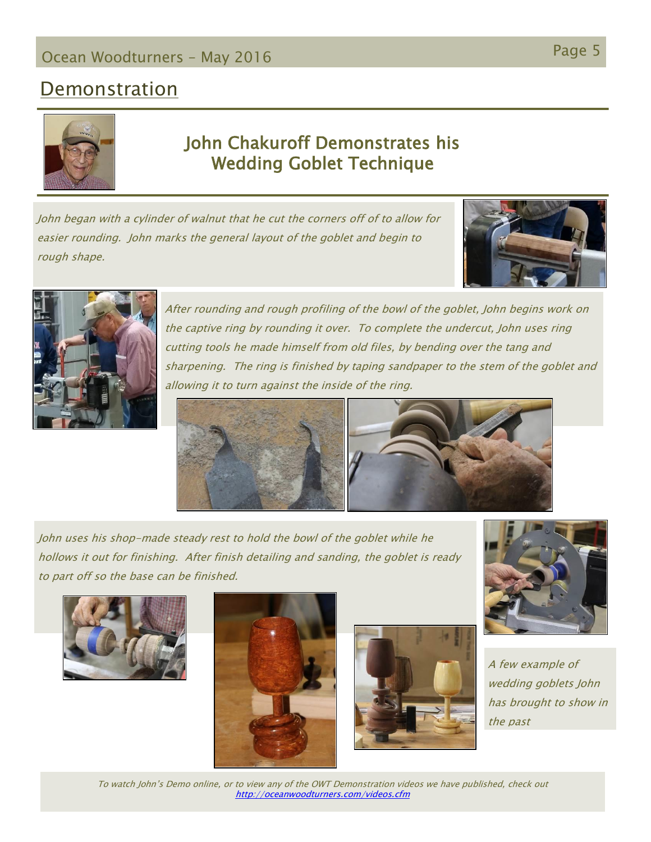### Page 5 Ocean Woodturners – May <sup>2016</sup>

### **Demonstration**



### John Chakuroff Demonstrates his Wedding Goblet Technique

John began with a cylinder of walnut that he cut the corners off of to allow for easier rounding. John marks the general layout of the goblet and begin to rough shape.





After rounding and rough profiling of the bowl of the goblet, John begins work on the captive ring by rounding it over. To complete the undercut, John uses ring cutting tools he made himself from old files, by bending over the tang and sharpening. The ring is finished by taping sandpaper to the stem of the goblet and allowing it to turn against the inside of the ring.



John uses his shop-made steady rest to hold the bowl of the goblet while he hollows it out for finishing. After finish detailing and sanding, the goblet is ready to part off so the base can be finished.









A few example of wedding goblets John has brought to show in the past

To watch John's Demo online, or to view any of the OWT Demonstration videos we have published, check out <http://oceanwoodturners.com/videos.cfm>